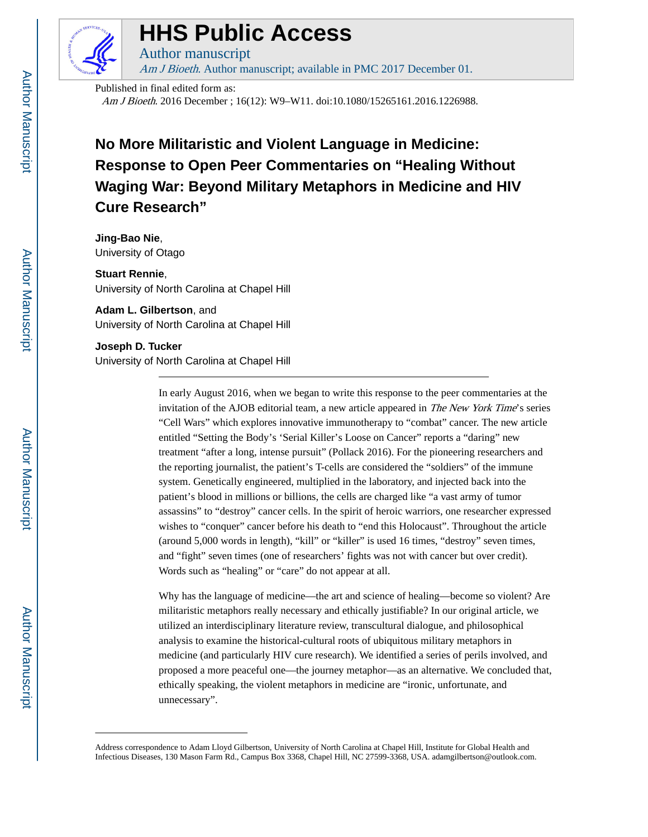

## **HHS Public Access**

Author manuscript Am J Bioeth. Author manuscript; available in PMC 2017 December 01.

Published in final edited form as: Am J Bioeth. 2016 December ; 16(12): W9–W11. doi:10.1080/15265161.2016.1226988.

## **No More Militaristic and Violent Language in Medicine: Response to Open Peer Commentaries on "Healing Without Waging War: Beyond Military Metaphors in Medicine and HIV Cure Research"**

**Jing-Bao Nie**, University of Otago

**Stuart Rennie**, University of North Carolina at Chapel Hill

**Adam L. Gilbertson**, and University of North Carolina at Chapel Hill

## **Joseph D. Tucker**

University of North Carolina at Chapel Hill

In early August 2016, when we began to write this response to the peer commentaries at the invitation of the AJOB editorial team, a new article appeared in *The New York Time's* series "Cell Wars" which explores innovative immunotherapy to "combat" cancer. The new article entitled "Setting the Body's 'Serial Killer's Loose on Cancer" reports a "daring" new treatment "after a long, intense pursuit" (Pollack 2016). For the pioneering researchers and the reporting journalist, the patient's T-cells are considered the "soldiers" of the immune system. Genetically engineered, multiplied in the laboratory, and injected back into the patient's blood in millions or billions, the cells are charged like "a vast army of tumor assassins" to "destroy" cancer cells. In the spirit of heroic warriors, one researcher expressed wishes to "conquer" cancer before his death to "end this Holocaust". Throughout the article (around 5,000 words in length), "kill" or "killer" is used 16 times, "destroy" seven times, and "fight" seven times (one of researchers' fights was not with cancer but over credit). Words such as "healing" or "care" do not appear at all.

Why has the language of medicine—the art and science of healing—become so violent? Are militaristic metaphors really necessary and ethically justifiable? In our original article, we utilized an interdisciplinary literature review, transcultural dialogue, and philosophical analysis to examine the historical-cultural roots of ubiquitous military metaphors in medicine (and particularly HIV cure research). We identified a series of perils involved, and proposed a more peaceful one—the journey metaphor—as an alternative. We concluded that, ethically speaking, the violent metaphors in medicine are "ironic, unfortunate, and unnecessary".

Address correspondence to Adam Lloyd Gilbertson, University of North Carolina at Chapel Hill, Institute for Global Health and Infectious Diseases, 130 Mason Farm Rd., Campus Box 3368, Chapel Hill, NC 27599-3368, USA. adamgilbertson@outlook.com.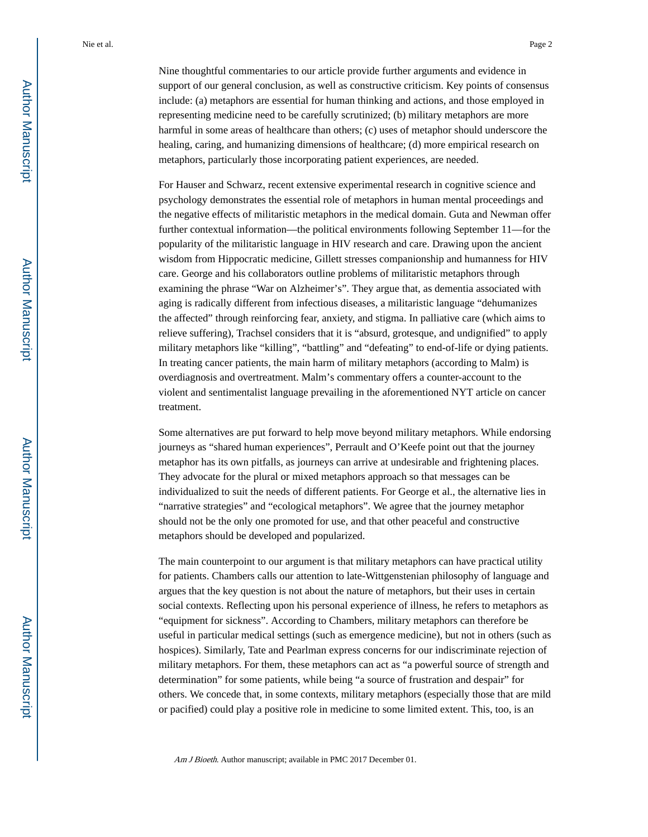Nie et al. Page 2

For Hauser and Schwarz, recent extensive experimental research in cognitive science and psychology demonstrates the essential role of metaphors in human mental proceedings and the negative effects of militaristic metaphors in the medical domain. Guta and Newman offer further contextual information—the political environments following September 11—for the popularity of the militaristic language in HIV research and care. Drawing upon the ancient wisdom from Hippocratic medicine, Gillett stresses companionship and humanness for HIV care. George and his collaborators outline problems of militaristic metaphors through examining the phrase "War on Alzheimer's". They argue that, as dementia associated with aging is radically different from infectious diseases, a militaristic language "dehumanizes the affected" through reinforcing fear, anxiety, and stigma. In palliative care (which aims to relieve suffering), Trachsel considers that it is "absurd, grotesque, and undignified" to apply military metaphors like "killing", "battling" and "defeating" to end-of-life or dying patients. In treating cancer patients, the main harm of military metaphors (according to Malm) is overdiagnosis and overtreatment. Malm's commentary offers a counter-account to the violent and sentimentalist language prevailing in the aforementioned NYT article on cancer treatment.

Some alternatives are put forward to help move beyond military metaphors. While endorsing journeys as "shared human experiences", Perrault and O'Keefe point out that the journey metaphor has its own pitfalls, as journeys can arrive at undesirable and frightening places. They advocate for the plural or mixed metaphors approach so that messages can be individualized to suit the needs of different patients. For George et al., the alternative lies in "narrative strategies" and "ecological metaphors". We agree that the journey metaphor should not be the only one promoted for use, and that other peaceful and constructive metaphors should be developed and popularized.

The main counterpoint to our argument is that military metaphors can have practical utility for patients. Chambers calls our attention to late-Wittgenstenian philosophy of language and argues that the key question is not about the nature of metaphors, but their uses in certain social contexts. Reflecting upon his personal experience of illness, he refers to metaphors as "equipment for sickness". According to Chambers, military metaphors can therefore be useful in particular medical settings (such as emergence medicine), but not in others (such as hospices). Similarly, Tate and Pearlman express concerns for our indiscriminate rejection of military metaphors. For them, these metaphors can act as "a powerful source of strength and determination" for some patients, while being "a source of frustration and despair" for others. We concede that, in some contexts, military metaphors (especially those that are mild or pacified) could play a positive role in medicine to some limited extent. This, too, is an

Am J Bioeth. Author manuscript; available in PMC 2017 December 01.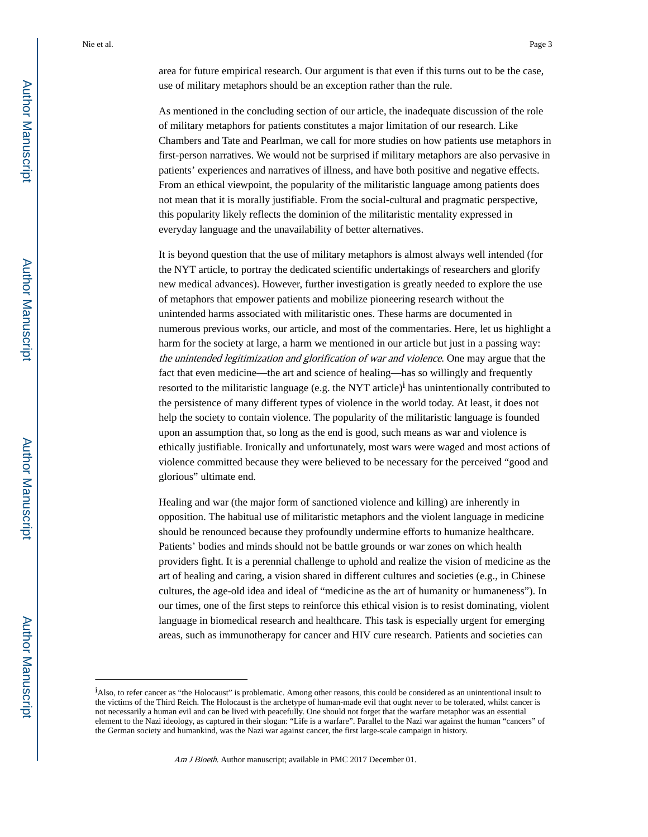Nie et al. Page 3

area for future empirical research. Our argument is that even if this turns out to be the case, use of military metaphors should be an exception rather than the rule.

As mentioned in the concluding section of our article, the inadequate discussion of the role of military metaphors for patients constitutes a major limitation of our research. Like Chambers and Tate and Pearlman, we call for more studies on how patients use metaphors in first-person narratives. We would not be surprised if military metaphors are also pervasive in patients' experiences and narratives of illness, and have both positive and negative effects. From an ethical viewpoint, the popularity of the militaristic language among patients does not mean that it is morally justifiable. From the social-cultural and pragmatic perspective, this popularity likely reflects the dominion of the militaristic mentality expressed in everyday language and the unavailability of better alternatives.

It is beyond question that the use of military metaphors is almost always well intended (for the NYT article, to portray the dedicated scientific undertakings of researchers and glorify new medical advances). However, further investigation is greatly needed to explore the use of metaphors that empower patients and mobilize pioneering research without the unintended harms associated with militaristic ones. These harms are documented in numerous previous works, our article, and most of the commentaries. Here, let us highlight a harm for the society at large, a harm we mentioned in our article but just in a passing way: the unintended legitimization and glorification of war and violence. One may argue that the fact that even medicine—the art and science of healing—has so willingly and frequently resorted to the militaristic language (e.g. the NYT article)<sup>1</sup> has unintentionally contributed to the persistence of many different types of violence in the world today. At least, it does not help the society to contain violence. The popularity of the militaristic language is founded upon an assumption that, so long as the end is good, such means as war and violence is ethically justifiable. Ironically and unfortunately, most wars were waged and most actions of violence committed because they were believed to be necessary for the perceived "good and glorious" ultimate end.

Healing and war (the major form of sanctioned violence and killing) are inherently in opposition. The habitual use of militaristic metaphors and the violent language in medicine should be renounced because they profoundly undermine efforts to humanize healthcare. Patients' bodies and minds should not be battle grounds or war zones on which health providers fight. It is a perennial challenge to uphold and realize the vision of medicine as the art of healing and caring, a vision shared in different cultures and societies (e.g., in Chinese cultures, the age-old idea and ideal of "medicine as the art of humanity or humaneness"). In our times, one of the first steps to reinforce this ethical vision is to resist dominating, violent language in biomedical research and healthcare. This task is especially urgent for emerging areas, such as immunotherapy for cancer and HIV cure research. Patients and societies can

<sup>&</sup>lt;sup>1</sup>Also, to refer cancer as "the Holocaust" is problematic. Among other reasons, this could be considered as an unintentional insult to the victims of the Third Reich. The Holocaust is the archetype of human-made evil that ought never to be tolerated, whilst cancer is not necessarily a human evil and can be lived with peacefully. One should not forget that the warfare metaphor was an essential element to the Nazi ideology, as captured in their slogan: "Life is a warfare". Parallel to the Nazi war against the human "cancers" of the German society and humankind, was the Nazi war against cancer, the first large-scale campaign in history.